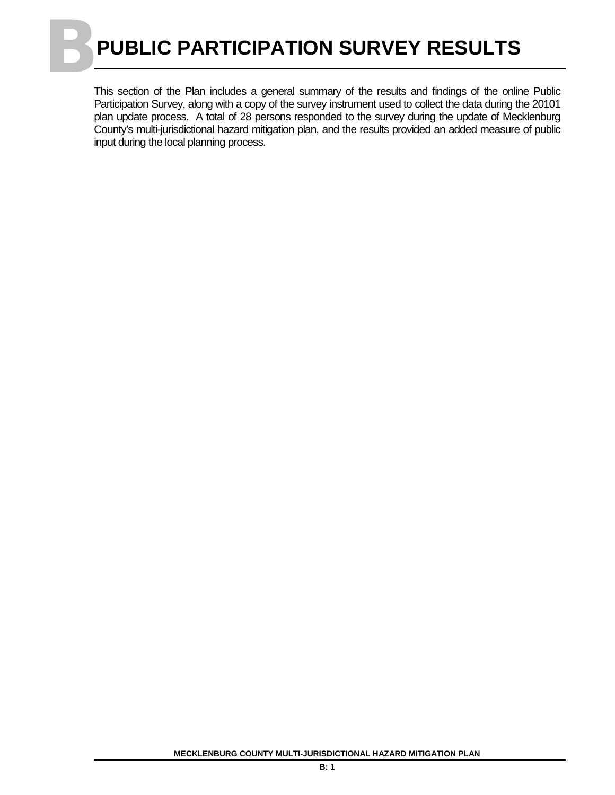## **BPUBLIC PARTICIPATION SURVEY RESULTS**

This section of the Plan includes a general summary of the results and findings of the online Public Participation Survey, along with a copy of the survey instrument used to collect the data during the 20101 plan update process. A total of 28 persons responded to the survey during the update of Mecklenburg County's multi-jurisdictional hazard mitigation plan, and the results provided an added measure of public input during the local planning process.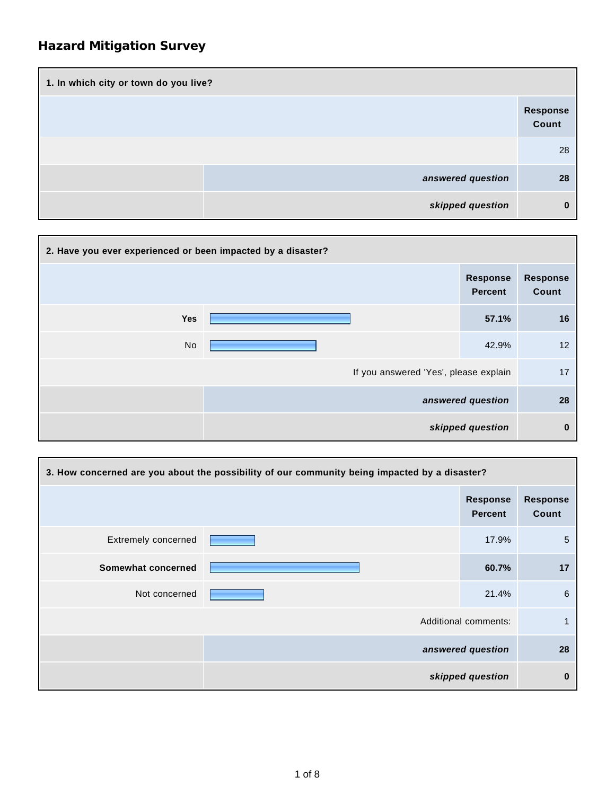| 1. In which city or town do you live? |                   |  |  |
|---------------------------------------|-------------------|--|--|
|                                       | Response<br>Count |  |  |
|                                       | 28                |  |  |
| answered question                     | 28                |  |  |
| skipped question                      | 0                 |  |  |

| 2. Have you ever experienced or been impacted by a disaster? |                                       |                                   |                          |
|--------------------------------------------------------------|---------------------------------------|-----------------------------------|--------------------------|
|                                                              |                                       | <b>Response</b><br><b>Percent</b> | <b>Response</b><br>Count |
| Yes                                                          |                                       | 57.1%                             | 16                       |
| No                                                           |                                       | 42.9%                             | 12                       |
|                                                              | If you answered 'Yes', please explain |                                   | 17                       |
|                                                              |                                       | answered question                 | 28                       |
|                                                              |                                       | skipped question                  |                          |

| 3. How concerned are you about the possibility of our community being impacted by a disaster? |  |                                   |                          |
|-----------------------------------------------------------------------------------------------|--|-----------------------------------|--------------------------|
|                                                                                               |  | <b>Response</b><br><b>Percent</b> | <b>Response</b><br>Count |
| Extremely concerned                                                                           |  | 17.9%                             | 5                        |
| Somewhat concerned                                                                            |  | 60.7%                             | 17                       |
| Not concerned                                                                                 |  | 21.4%                             | 6                        |
| Additional comments:                                                                          |  |                                   |                          |
|                                                                                               |  | answered question                 | 28                       |
|                                                                                               |  | skipped question                  | $\bf{0}$                 |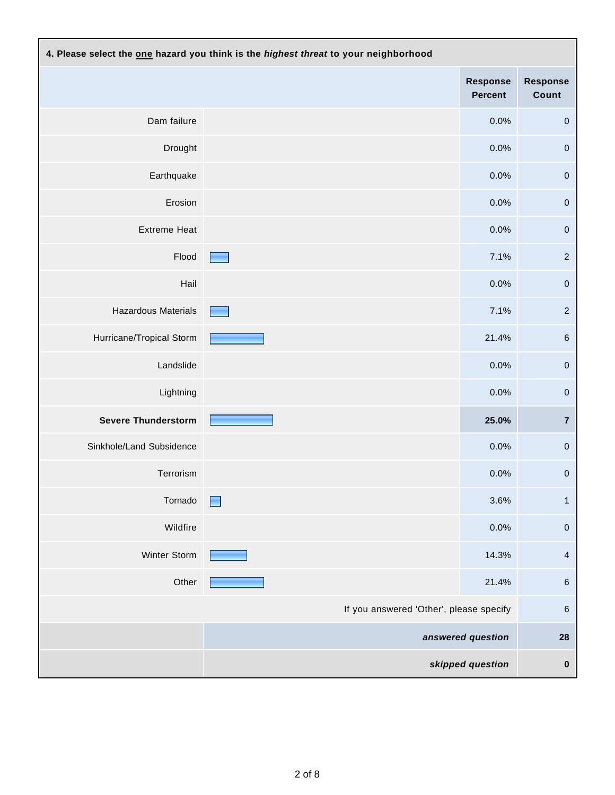| 4. Please select the one hazard you think is the highest threat to your neighborhood |                                   |                            |                          |
|--------------------------------------------------------------------------------------|-----------------------------------|----------------------------|--------------------------|
|                                                                                      |                                   | <b>Response</b><br>Percent | <b>Response</b><br>Count |
| Dam failure                                                                          |                                   | 0.0%                       | $\pmb{0}$                |
| Drought                                                                              |                                   | 0.0%                       | $\pmb{0}$                |
| Earthquake                                                                           |                                   | 0.0%                       | $\pmb{0}$                |
| Erosion                                                                              |                                   | 0.0%                       | $\pmb{0}$                |
| <b>Extreme Heat</b>                                                                  |                                   | 0.0%                       | $\pmb{0}$                |
| Flood                                                                                | <b>Contract Contract Contract</b> | 7.1%                       | $\sqrt{2}$               |
| Hail                                                                                 |                                   | 0.0%                       | $\pmb{0}$                |
| Hazardous Materials                                                                  |                                   | 7.1%                       | $\overline{2}$           |
| Hurricane/Tropical Storm                                                             |                                   | 21.4%                      | $\,6$                    |
| Landslide                                                                            |                                   | 0.0%                       | $\pmb{0}$                |
| Lightning                                                                            |                                   | 0.0%                       | $\pmb{0}$                |
| <b>Severe Thunderstorm</b>                                                           |                                   | 25.0%                      | $\overline{\mathbf{7}}$  |
| Sinkhole/Land Subsidence                                                             |                                   | 0.0%                       | $\pmb{0}$                |
| Terrorism                                                                            |                                   | 0.0%                       | 0                        |
| Tornado                                                                              | H                                 | 3.6%                       | $\mathbf{1}$             |
| Wildfire                                                                             |                                   | 0.0%                       | $\pmb{0}$                |
| Winter Storm                                                                         |                                   | 14.3%                      | $\overline{4}$           |
| Other                                                                                |                                   | 21.4%                      | $\,6\,$                  |
| If you answered 'Other', please specify                                              |                                   |                            | $\,6$                    |
|                                                                                      |                                   | answered question          | 28                       |
|                                                                                      |                                   | skipped question           | $\pmb{0}$                |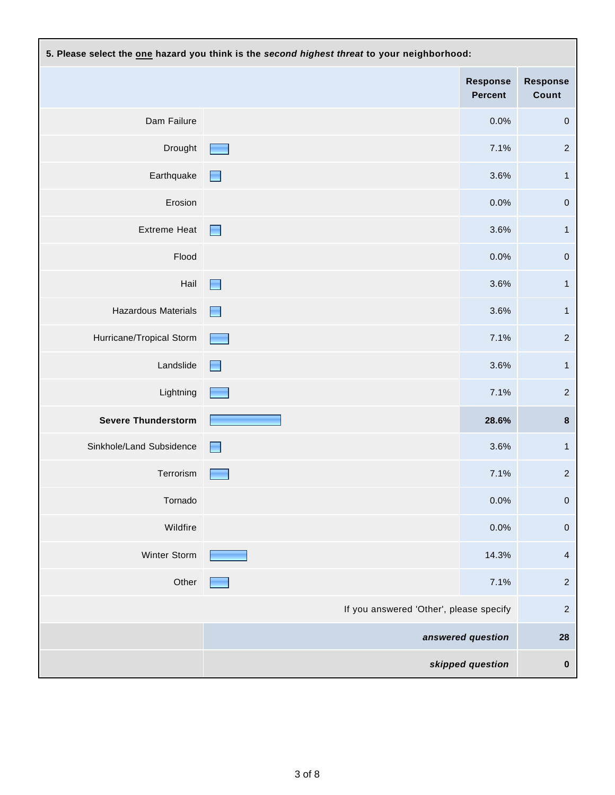| 5. Please select the one hazard you think is the second highest threat to your neighborhood: |                                         |                                   |                          |
|----------------------------------------------------------------------------------------------|-----------------------------------------|-----------------------------------|--------------------------|
|                                                                                              |                                         | <b>Response</b><br><b>Percent</b> | <b>Response</b><br>Count |
| Dam Failure                                                                                  |                                         | 0.0%                              | $\pmb{0}$                |
| Drought                                                                                      |                                         | 7.1%                              | $\overline{2}$           |
| Earthquake                                                                                   | $\overline{\phantom{0}}$                | 3.6%                              | $\mathbf{1}$             |
| Erosion                                                                                      |                                         | 0.0%                              | $\pmb{0}$                |
| <b>Extreme Heat</b>                                                                          | Н                                       | 3.6%                              | $\mathbf{1}$             |
| Flood                                                                                        |                                         | 0.0%                              | $\pmb{0}$                |
| Hail                                                                                         | a di                                    | 3.6%                              | $\mathbf{1}$             |
| Hazardous Materials                                                                          | a d                                     | 3.6%                              | $\mathbf{1}$             |
| Hurricane/Tropical Storm                                                                     |                                         | 7.1%                              | $\overline{2}$           |
| Landslide                                                                                    | $\overline{\phantom{0}}$                | 3.6%                              | $\mathbf{1}$             |
| Lightning                                                                                    |                                         | 7.1%                              | $\sqrt{2}$               |
| <b>Severe Thunderstorm</b>                                                                   |                                         | 28.6%                             | $\pmb{8}$                |
| Sinkhole/Land Subsidence                                                                     | Ħ                                       | 3.6%                              | $\mathbf{1}$             |
| Terrorism                                                                                    |                                         | 7.1%                              | $\overline{2}$           |
| Tornado                                                                                      |                                         | 0.0%                              | 0                        |
| Wildfire                                                                                     |                                         | 0.0%                              | $\pmb{0}$                |
| Winter Storm                                                                                 |                                         | 14.3%                             | 4                        |
| Other                                                                                        |                                         | 7.1%                              | $\sqrt{2}$               |
|                                                                                              | If you answered 'Other', please specify |                                   | $\sqrt{2}$               |
|                                                                                              |                                         | answered question                 | 28                       |
|                                                                                              |                                         | skipped question                  | $\pmb{0}$                |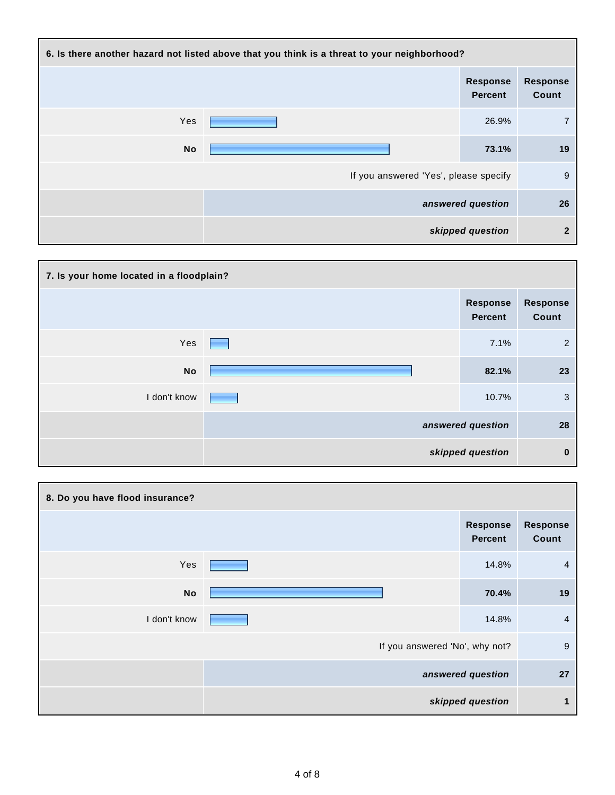| 6. Is there another hazard not listed above that you think is a threat to your neighborhood? |                                       |                                   |                          |
|----------------------------------------------------------------------------------------------|---------------------------------------|-----------------------------------|--------------------------|
|                                                                                              |                                       | <b>Response</b><br><b>Percent</b> | <b>Response</b><br>Count |
| Yes                                                                                          |                                       | 26.9%                             | 7                        |
| <b>No</b>                                                                                    |                                       | 73.1%                             | 19                       |
|                                                                                              | If you answered 'Yes', please specify |                                   | 9                        |
|                                                                                              |                                       | answered question                 | 26                       |
|                                                                                              |                                       | skipped question                  | $\overline{2}$           |

| 7. Is your home located in a floodplain? |  |                                   |                          |
|------------------------------------------|--|-----------------------------------|--------------------------|
|                                          |  | <b>Response</b><br><b>Percent</b> | <b>Response</b><br>Count |
| Yes                                      |  | 7.1%                              | $\overline{2}$           |
| No                                       |  | 82.1%                             | 23                       |
| I don't know                             |  | 10.7%                             | 3                        |
|                                          |  | answered question                 | 28                       |
|                                          |  | skipped question                  | $\bf{0}$                 |

| 8. Do you have flood insurance? |                                |                     |                          |
|---------------------------------|--------------------------------|---------------------|--------------------------|
|                                 |                                | Response<br>Percent | <b>Response</b><br>Count |
| Yes                             |                                | 14.8%               | $\overline{4}$           |
| <b>No</b>                       |                                | 70.4%               | 19                       |
| I don't know                    |                                | 14.8%               | 4                        |
|                                 | If you answered 'No', why not? |                     | $9\,$                    |
|                                 |                                | answered question   | 27                       |
|                                 |                                | skipped question    |                          |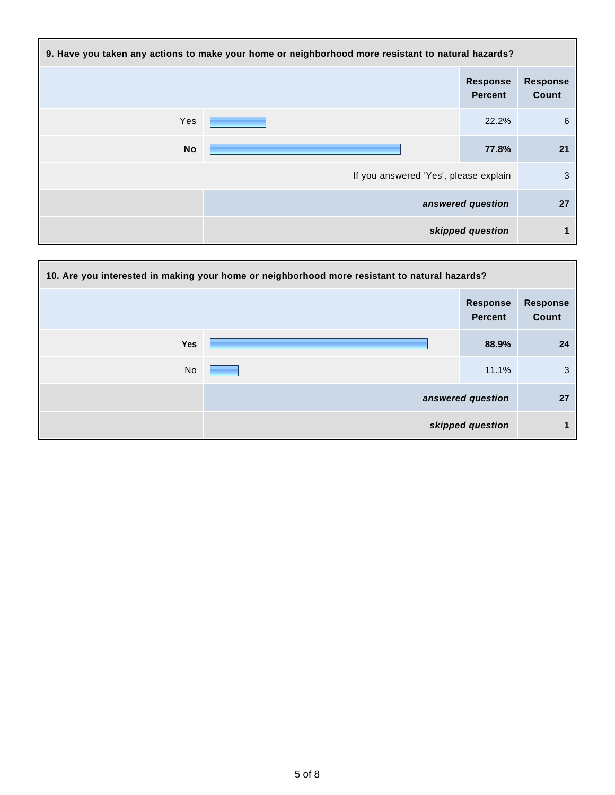| 9. Have you taken any actions to make your home or neighborhood more resistant to natural hazards? |                                       |                                   |                          |
|----------------------------------------------------------------------------------------------------|---------------------------------------|-----------------------------------|--------------------------|
|                                                                                                    |                                       | <b>Response</b><br><b>Percent</b> | <b>Response</b><br>Count |
| Yes                                                                                                |                                       | 22.2%                             | 6                        |
| No                                                                                                 |                                       | 77.8%                             | 21                       |
|                                                                                                    | If you answered 'Yes', please explain |                                   | 3                        |
|                                                                                                    |                                       | answered question                 | 27                       |
|                                                                                                    |                                       | skipped question                  |                          |

| 10. Are you interested in making your home or neighborhood more resistant to natural hazards? |  |                                   |                          |
|-----------------------------------------------------------------------------------------------|--|-----------------------------------|--------------------------|
|                                                                                               |  | <b>Response</b><br><b>Percent</b> | <b>Response</b><br>Count |
| <b>Yes</b>                                                                                    |  | 88.9%                             | 24                       |
| No                                                                                            |  | 11.1%                             | 3                        |
|                                                                                               |  | answered question                 | 27                       |
|                                                                                               |  | skipped question                  | 1                        |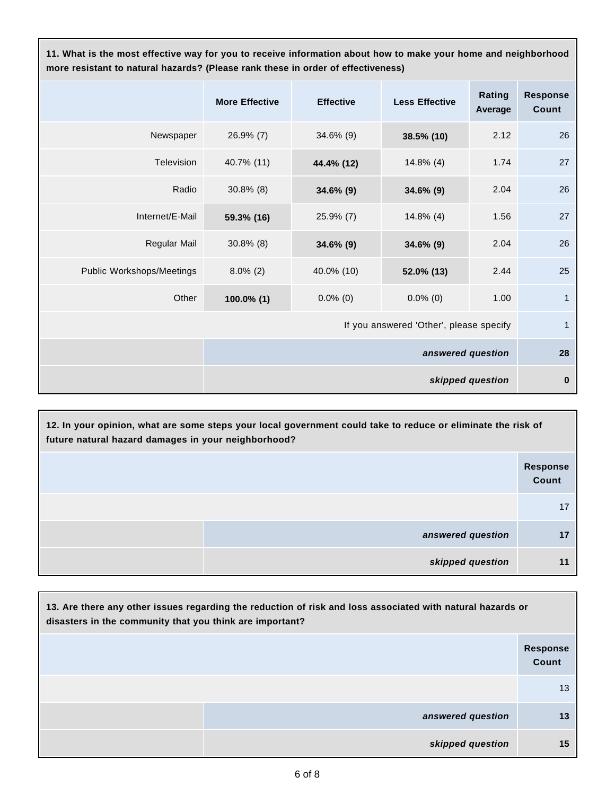**11. What is the most effective way for you to receive information about how to make your home and neighborhood more resistant to natural hazards? (Please rank these in order of effectiveness)**

|                                         | <b>More Effective</b> | <b>Effective</b> | <b>Less Effective</b> | Rating<br>Average | <b>Response</b><br>Count |
|-----------------------------------------|-----------------------|------------------|-----------------------|-------------------|--------------------------|
| Newspaper                               | $26.9\%$ (7)          | 34.6% (9)        | 38.5% (10)            | 2.12              | 26                       |
| Television                              | 40.7% (11)            | 44.4% (12)       | $14.8\%$ (4)          | 1.74              | 27                       |
| Radio                                   | $30.8\%$ (8)          | 34.6% (9)        | 34.6% (9)             | 2.04              | 26                       |
| Internet/E-Mail                         | 59.3% (16)            | 25.9% (7)        | $14.8\%$ (4)          | 1.56              | 27                       |
| Regular Mail                            | $30.8\%$ (8)          | 34.6% (9)        | 34.6% (9)             | 2.04              | 26                       |
| Public Workshops/Meetings               | $8.0\%$ (2)           | 40.0% (10)       | 52.0% (13)            | 2.44              | 25                       |
| Other                                   | 100.0% (1)            | $0.0\%$ (0)      | $0.0\%$ (0)           | 1.00              | $\mathbf{1}$             |
| If you answered 'Other', please specify |                       |                  |                       | $\mathbf{1}$      |                          |
|                                         | answered question     |                  |                       | 28                |                          |
|                                         | skipped question      |                  |                       | $\bf{0}$          |                          |

| 12. In your opinion, what are some steps your local government could take to reduce or eliminate the risk of<br>future natural hazard damages in your neighborhood? |                          |  |
|---------------------------------------------------------------------------------------------------------------------------------------------------------------------|--------------------------|--|
|                                                                                                                                                                     | <b>Response</b><br>Count |  |
|                                                                                                                                                                     |                          |  |
| answered question                                                                                                                                                   |                          |  |
| skipped question                                                                                                                                                    |                          |  |

| 13. Are there any other issues regarding the reduction of risk and loss associated with natural hazards or<br>disasters in the community that you think are important? |                          |  |  |  |
|------------------------------------------------------------------------------------------------------------------------------------------------------------------------|--------------------------|--|--|--|
|                                                                                                                                                                        | <b>Response</b><br>Count |  |  |  |
|                                                                                                                                                                        | 13                       |  |  |  |
| answered question                                                                                                                                                      | 13                       |  |  |  |
| skipped question                                                                                                                                                       | 15                       |  |  |  |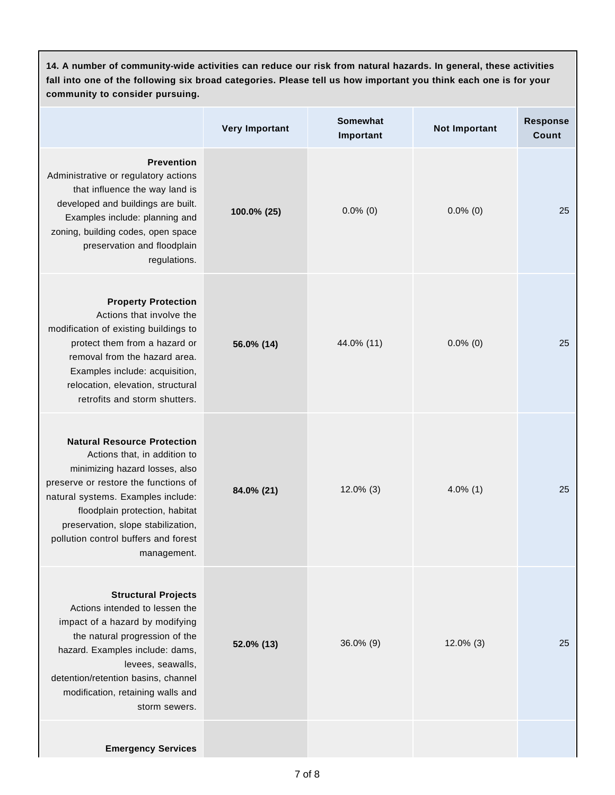| 14. A number of community-wide activities can reduce our risk from natural hazards. In general, these activities<br>fall into one of the following six broad categories. Please tell us how important you think each one is for your<br>community to consider pursuing.                                           |                       |                              |                      |                          |  |
|-------------------------------------------------------------------------------------------------------------------------------------------------------------------------------------------------------------------------------------------------------------------------------------------------------------------|-----------------------|------------------------------|----------------------|--------------------------|--|
|                                                                                                                                                                                                                                                                                                                   | <b>Very Important</b> | <b>Somewhat</b><br>Important | <b>Not Important</b> | <b>Response</b><br>Count |  |
| <b>Prevention</b><br>Administrative or regulatory actions<br>that influence the way land is<br>developed and buildings are built.<br>Examples include: planning and<br>zoning, building codes, open space<br>preservation and floodplain<br>regulations.                                                          | 100.0% (25)           | $0.0\%$ (0)                  | $0.0\%$ (0)          | 25                       |  |
| <b>Property Protection</b><br>Actions that involve the<br>modification of existing buildings to<br>protect them from a hazard or<br>removal from the hazard area.<br>Examples include: acquisition,<br>relocation, elevation, structural<br>retrofits and storm shutters.                                         | 56.0% (14)            | 44.0% (11)                   | $0.0\%$ (0)          | 25                       |  |
| <b>Natural Resource Protection</b><br>Actions that, in addition to<br>minimizing hazard losses, also<br>preserve or restore the functions of<br>natural systems. Examples include:<br>floodplain protection, habitat<br>preservation, slope stabilization,<br>pollution control buffers and forest<br>management. | 84.0% (21)            | $12.0\%$ (3)                 | $4.0\%$ (1)          | 25                       |  |
| <b>Structural Projects</b><br>Actions intended to lessen the<br>impact of a hazard by modifying<br>the natural progression of the<br>hazard. Examples include: dams,<br>levees, seawalls,<br>detention/retention basins, channel<br>modification, retaining walls and<br>storm sewers.                            | 52.0% (13)            | 36.0% (9)                    | $12.0\%$ (3)         | 25                       |  |
| <b>Emergency Services</b>                                                                                                                                                                                                                                                                                         |                       |                              |                      |                          |  |